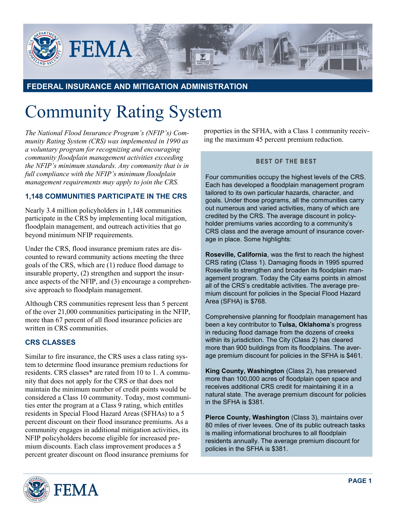

# **FEDERAL INSURANCE AND MITIGATION ADMINISTRATION**

# Community Rating System

*The National Flood Insurance Program's (NFIP's) Community Rating System (CRS) was implemented in 1990 as a voluntary program for recognizing and encouraging community floodplain management activities exceeding the NFIP's minimum standards. Any community that is in full compliance with the NFIP's minimum floodplain management requirements may apply to join the CRS.*

## **1,148 COMMUNITIES PARTICIPATE IN THE CRS**

Nearly 3.4 million policyholders in 1,148 communities participate in the CRS by implementing local mitigation, floodplain management, and outreach activities that go beyond minimum NFIP requirements.

Under the CRS, flood insurance premium rates are discounted to reward community actions meeting the three goals of the CRS, which are (1) reduce flood damage to insurable property, (2) strengthen and support the insurance aspects of the NFIP, and (3) encourage a comprehensive approach to floodplain management.

Although CRS communities represent less than 5 percent of the over 21,000 communities participating in the NFIP, more than 67 percent of all flood insurance policies are written in CRS communities.

## **CRS CLASSES**

Similar to fire insurance, the CRS uses a class rating system to determine flood insurance premium reductions for residents. CRS classes\* are rated from 10 to 1. A community that does not apply for the CRS or that does not maintain the minimum number of credit points would be considered a Class 10 community. Today, most communities enter the program at a Class 9 rating, which entitles residents in Special Flood Hazard Areas (SFHAs) to a 5 percent discount on their flood insurance premiums. As a community engages in additional mitigation activities, its NFIP policyholders become eligible for increased premium discounts. Each class improvement produces a 5 percent greater discount on flood insurance premiums for



## **BEST OF THE BEST**

Four communities occupy the highest levels of the CRS. Each has developed a floodplain management program tailored to its own particular hazards, character, and goals. Under those programs, all the communities carry out numerous and varied activities, many of which are credited by the CRS. The average discount in policyholder premiums varies according to a community's CRS class and the average amount of insurance coverage in place. Some highlights:

**Roseville, California**, was the first to reach the highest CRS rating (Class 1). Damaging floods in 1995 spurred Roseville to strengthen and broaden its floodplain management program. Today the City earns points in almost all of the CRS's creditable activities. The average premium discount for policies in the Special Flood Hazard Area (SFHA) is \$768.

Comprehensive planning for floodplain management has been a key contributor to **Tulsa, Oklahoma**'s progress in reducing flood damage from the dozens of creeks within its jurisdiction. The City (Class 2) has cleared more than 900 buildings from its floodplains. The average premium discount for policies in the SFHA is \$461.

**King County, Washington** (Class 2), has preserved more than 100,000 acres of floodplain open space and receives additional CRS credit for maintaining it in a natural state. The average premium discount for policies in the SFHA is \$381.

**Pierce County, Washington** (Class 3), maintains over 80 miles of river levees. One of its public outreach tasks is mailing informational brochures to all floodplain residents annually. The average premium discount for policies in the SFHA is \$381.